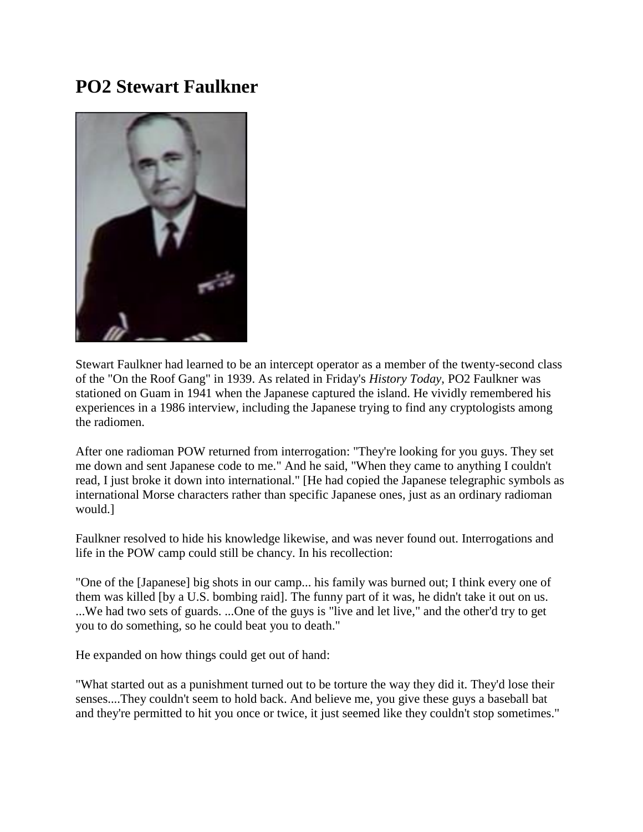## **PO2 Stewart Faulkner**



Stewart Faulkner had learned to be an intercept operator as a member of the twenty-second class of the "On the Roof Gang" in 1939. As related in Friday's *History Today*, PO2 Faulkner was stationed on Guam in 1941 when the Japanese captured the island. He vividly remembered his experiences in a 1986 interview, including the Japanese trying to find any cryptologists among the radiomen.

After one radioman POW returned from interrogation: "They're looking for you guys. They set me down and sent Japanese code to me." And he said, "When they came to anything I couldn't read, I just broke it down into international." [He had copied the Japanese telegraphic symbols as international Morse characters rather than specific Japanese ones, just as an ordinary radioman would.]

Faulkner resolved to hide his knowledge likewise, and was never found out. Interrogations and life in the POW camp could still be chancy. In his recollection:

"One of the [Japanese] big shots in our camp... his family was burned out; I think every one of them was killed [by a U.S. bombing raid]. The funny part of it was, he didn't take it out on us. ...We had two sets of guards. ...One of the guys is "live and let live," and the other'd try to get you to do something, so he could beat you to death."

He expanded on how things could get out of hand:

"What started out as a punishment turned out to be torture the way they did it. They'd lose their senses....They couldn't seem to hold back. And believe me, you give these guys a baseball bat and they're permitted to hit you once or twice, it just seemed like they couldn't stop sometimes."